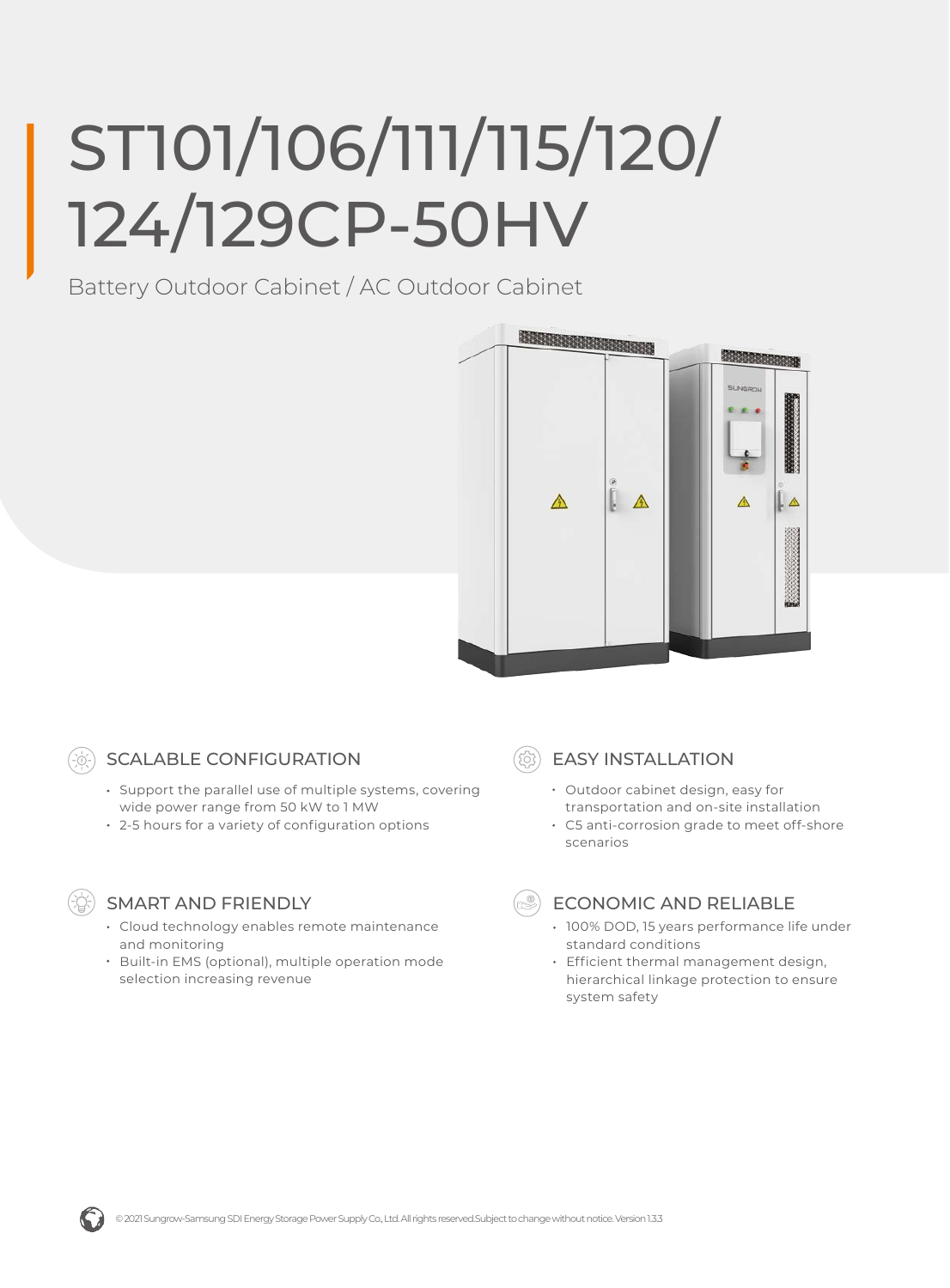# ST101/106/111/115/120/ 124/129CP-50HV

Battery Outdoor Cabinet / AC Outdoor Cabinet





## SCALABLE CONFIGURATION

- Support the parallel use of multiple systems, covering wide power range from 50 kW to 1 MW
- 2-5 hours for a variety of configuration options



### SMART AND FRIENDLY

- Cloud technology enables remote maintenance and monitoring
- Built-in EMS (optional), multiple operation mode selection increasing revenue

EASY INSTALLATION

- Outdoor cabinet design, easy for transportation and on-site installation
- C5 anti-corrosion grade to meet off-shore scenarios



### ECONOMIC AND RELIABLE

- 100% DOD, 15 years performance life under standard conditions
- Efficient thermal management design, hierarchical linkage protection to ensure system safety